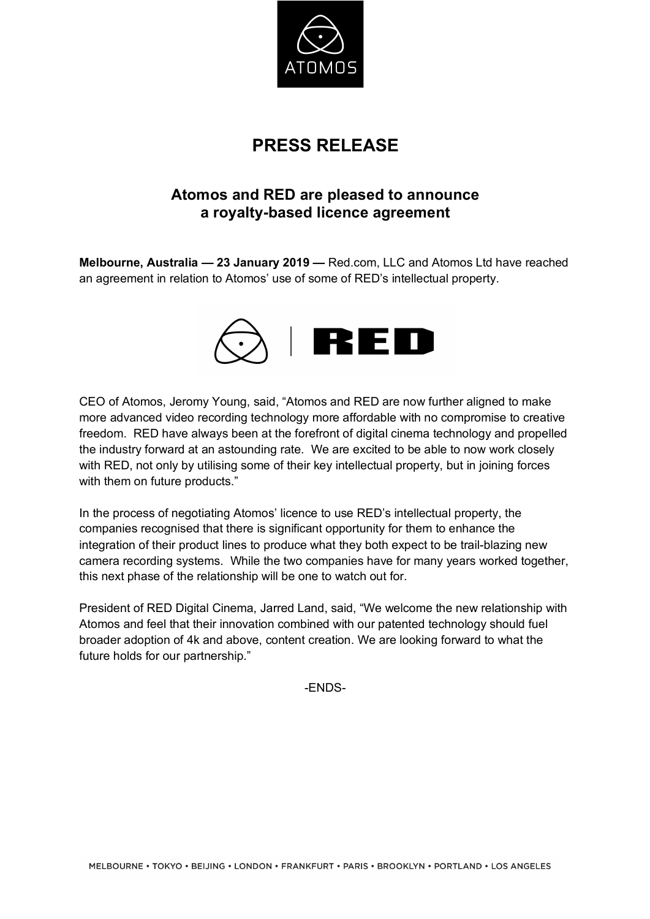

## **PRESS RELEASE**

## **Atomos and RED are pleased to announce a royalty-based licence agreement**

**Melbourne, Australia — 23 January 2019 —** Red.com, LLC and Atomos Ltd have reached an agreement in relation to Atomos' use of some of RED's intellectual property.



CEO of Atomos, Jeromy Young, said, "Atomos and RED are now further aligned to make more advanced video recording technology more affordable with no compromise to creative freedom. RED have always been at the forefront of digital cinema technology and propelled the industry forward at an astounding rate. We are excited to be able to now work closely with RED, not only by utilising some of their key intellectual property, but in joining forces with them on future products."

In the process of negotiating Atomos' licence to use RED's intellectual property, the companies recognised that there is significant opportunity for them to enhance the integration of their product lines to produce what they both expect to be trail-blazing new camera recording systems. While the two companies have for many years worked together, this next phase of the relationship will be one to watch out for.

President of RED Digital Cinema, Jarred Land, said, "We welcome the new relationship with Atomos and feel that their innovation combined with our patented technology should fuel broader adoption of 4k and above, content creation. We are looking forward to what the future holds for our partnership."

-ENDS-